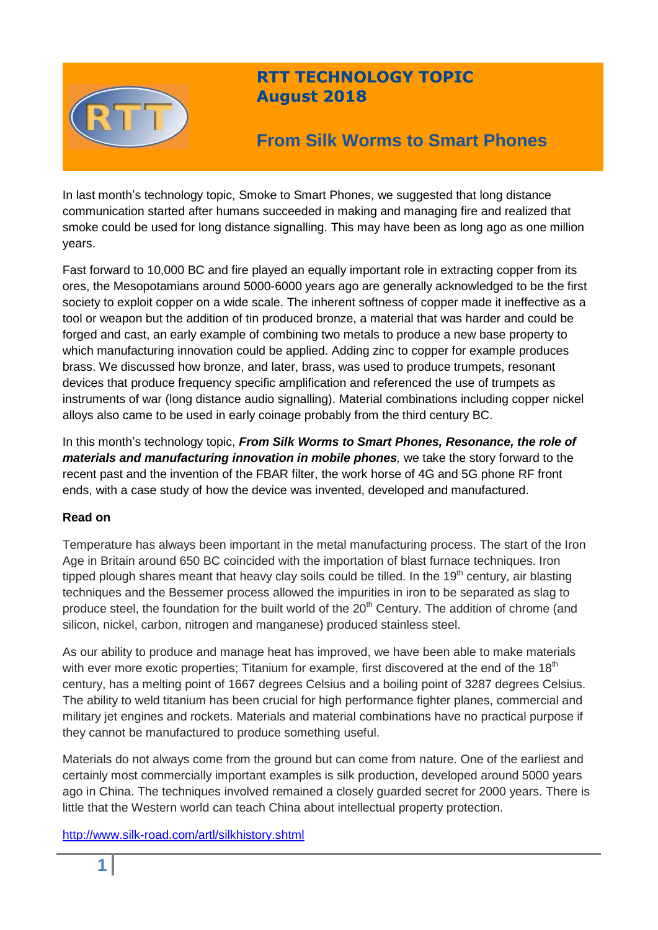

## **RTT TECHNOLOGY TOPIC August 2018**

# **From Silk Worms to Smart Phones**

In last month's technology topic, Smoke to Smart Phones, we suggested that long distance communication started after humans succeeded in making and managing fire and realized that smoke could be used for long distance signalling. This may have been as long ago as one million years.

Fast forward to 10,000 BC and fire played an equally important role in extracting copper from its ores, the Mesopotamians around 5000-6000 years ago are generally acknowledged to be the first society to exploit copper on a wide scale. The inherent softness of copper made it ineffective as a tool or weapon but the addition of tin produced bronze, a material that was harder and could be forged and cast, an early example of combining two metals to produce a new base property to which manufacturing innovation could be applied. Adding zinc to copper for example produces brass. We discussed how bronze, and later, brass, was used to produce trumpets, resonant devices that produce frequency specific amplification and referenced the use of trumpets as instruments of war (long distance audio signalling). Material combinations including copper nickel alloys also came to be used in early coinage probably from the third century BC.

In this month's technology topic, *From Silk Worms to Smart Phones, Resonance, the role of materials and manufacturing innovation in mobile phones,* we take the story forward to the recent past and the invention of the FBAR filter, the work horse of 4G and 5G phone RF front ends, with a case study of how the device was invented, developed and manufactured.

## **Read on**

Temperature has always been important in the metal manufacturing process. The start of the Iron Age in Britain around 650 BC coincided with the importation of blast furnace techniques. Iron tipped plough shares meant that heavy clay soils could be tilled. In the 19<sup>th</sup> century, air blasting techniques and the Bessemer process allowed the impurities in iron to be separated as slag to produce steel, the foundation for the built world of the  $20<sup>th</sup>$  Century. The addition of chrome (and silicon, nickel, carbon, nitrogen and manganese) produced stainless steel.

As our ability to produce and manage heat has improved, we have been able to make materials with ever more exotic properties; Titanium for example, first discovered at the end of the  $18<sup>th</sup>$ century, has a melting point of 1667 degrees Celsius and a boiling point of 3287 degrees Celsius. The ability to weld titanium has been crucial for high performance fighter planes, commercial and military jet engines and rockets. Materials and material combinations have no practical purpose if they cannot be manufactured to produce something useful.

Materials do not always come from the ground but can come from nature. One of the earliest and certainly most commercially important examples is silk production, developed around 5000 years ago in China. The techniques involved remained a closely guarded secret for 2000 years. There is little that the Western world can teach China about intellectual property protection.

<http://www.silk-road.com/artl/silkhistory.shtml>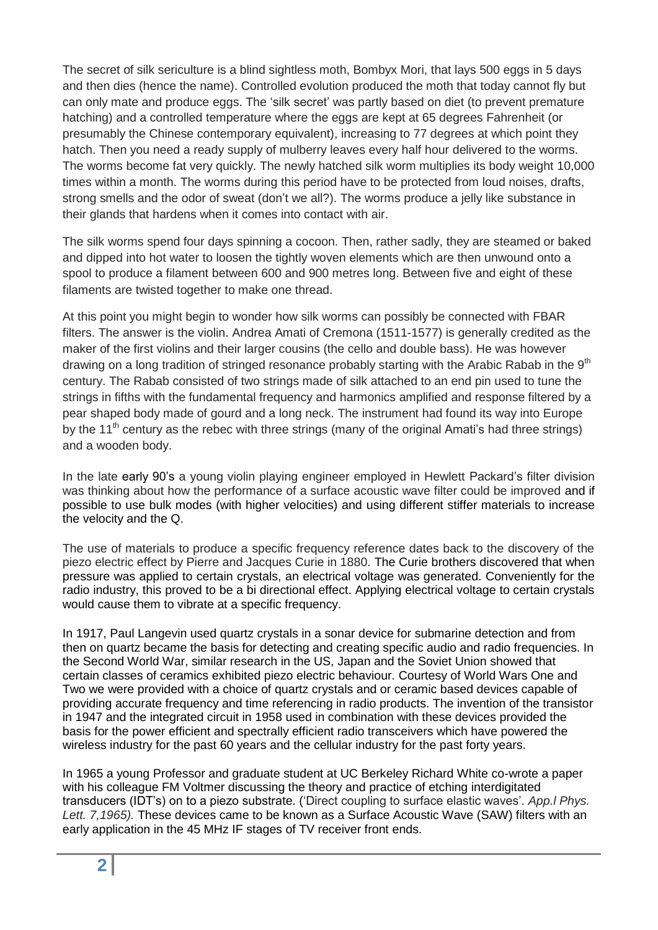The secret of silk sericulture is a blind sightless moth, Bombyx Mori, that lays 500 eggs in 5 days and then dies (hence the name). Controlled evolution produced the moth that today cannot fly but can only mate and produce eggs. The 'silk secret' was partly based on diet (to prevent premature hatching) and a controlled temperature where the eggs are kept at 65 degrees Fahrenheit (or presumably the Chinese contemporary equivalent), increasing to 77 degrees at which point they hatch. Then you need a ready supply of mulberry leaves every half hour delivered to the worms. The worms become fat very quickly. The newly hatched silk worm multiplies its body weight 10,000 times within a month. The worms during this period have to be protected from loud noises, drafts, strong smells and the odor of sweat (don't we all?). The worms produce a jelly like substance in their glands that hardens when it comes into contact with air.

The silk worms spend four days spinning a cocoon. Then, rather sadly, they are steamed or baked and dipped into hot water to loosen the tightly woven elements which are then unwound onto a spool to produce a filament between 600 and 900 metres long. Between five and eight of these filaments are twisted together to make one thread.

At this point you might begin to wonder how silk worms can possibly be connected with FBAR filters. The answer is the violin. Andrea Amati of Cremona (1511-1577) is generally credited as the maker of the first violins and their larger cousins (the cello and double bass). He was however drawing on a long tradition of stringed resonance probably starting with the Arabic Rabab in the  $9<sup>th</sup>$ century. The Rabab consisted of two strings made of silk attached to an end pin used to tune the strings in fifths with the fundamental frequency and harmonics amplified and response filtered by a pear shaped body made of gourd and a long neck. The instrument had found its way into Europe by the 11<sup>th</sup> century as the rebec with three strings (many of the original Amati's had three strings) and a wooden body.

In the late early 90's a young violin playing engineer employed in Hewlett Packard's filter division was thinking about how the performance of a surface acoustic wave filter could be improved and if possible to use bulk modes (with higher velocities) and using different stiffer materials to increase the velocity and the Q.

The use of materials to produce a specific frequency reference dates back to the discovery of the piezo electric effect by Pierre and Jacques Curie in 1880. The Curie brothers discovered that when pressure was applied to certain crystals, an electrical voltage was generated. Conveniently for the radio industry, this proved to be a bi directional effect. Applying electrical voltage to certain crystals would cause them to vibrate at a specific frequency.

In 1917, Paul Langevin used quartz crystals in a sonar device for submarine detection and from then on quartz became the basis for detecting and creating specific audio and radio frequencies. In the Second World War, similar research in the US, Japan and the Soviet Union showed that certain classes of ceramics exhibited piezo electric behaviour. Courtesy of World Wars One and Two we were provided with a choice of quartz crystals and or ceramic based devices capable of providing accurate frequency and time referencing in radio products. The invention of the transistor in 1947 and the integrated circuit in 1958 used in combination with these devices provided the basis for the power efficient and spectrally efficient radio transceivers which have powered the wireless industry for the past 60 years and the cellular industry for the past forty years.

In 1965 a young Professor and graduate student at UC Berkeley Richard White co-wrote a paper with his colleague FM Voltmer discussing the theory and practice of etching interdigitated transducers (IDT's) on to a piezo substrate. ('Direct coupling to surface elastic waves'. *App.l Phys. Lett. 7,1965).* These devices came to be known as a Surface Acoustic Wave (SAW) filters with an early application in the 45 MHz IF stages of TV receiver front ends.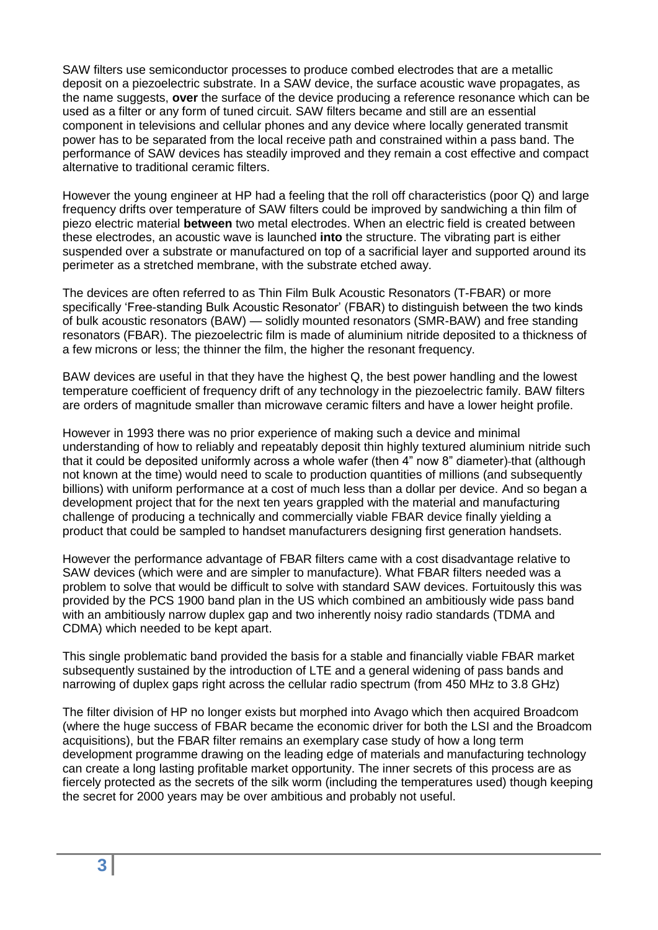SAW filters use semiconductor processes to produce combed electrodes that are a metallic deposit on a piezoelectric substrate. In a SAW device, the surface acoustic wave propagates, as the name suggests, **over** the surface of the device producing a reference resonance which can be used as a filter or any form of tuned circuit. SAW filters became and still are an essential component in televisions and cellular phones and any device where locally generated transmit power has to be separated from the local receive path and constrained within a pass band. The performance of SAW devices has steadily improved and they remain a cost effective and compact alternative to traditional ceramic filters.

However the young engineer at HP had a feeling that the roll off characteristics (poor Q) and large frequency drifts over temperature of SAW filters could be improved by sandwiching a thin film of piezo electric material **between** two metal electrodes. When an electric field is created between these electrodes, an acoustic wave is launched **into** the structure. The vibrating part is either suspended over a substrate or manufactured on top of a sacrificial layer and supported around its perimeter as a stretched membrane, with the substrate etched away.

The devices are often referred to as Thin Film Bulk Acoustic Resonators (T-FBAR) or more specifically 'Free-standing Bulk Acoustic Resonator' (FBAR) to distinguish between the two kinds of bulk acoustic resonators (BAW) — solidly mounted resonators (SMR-BAW) and free standing resonators (FBAR). The piezoelectric film is made of aluminium nitride deposited to a thickness of a few microns or less; the thinner the film, the higher the resonant frequency.

BAW devices are useful in that they have the highest Q, the best power handling and the lowest temperature coefficient of frequency drift of any technology in the piezoelectric family. BAW filters are orders of magnitude smaller than microwave ceramic filters and have a lower height profile.

However in 1993 there was no prior experience of making such a device and minimal understanding of how to reliably and repeatably deposit thin highly textured aluminium nitride such that it could be deposited uniformly across a whole wafer (then 4" now 8" diameter) that (although not known at the time) would need to scale to production quantities of millions (and subsequently billions) with uniform performance at a cost of much less than a dollar per device. And so began a development project that for the next ten years grappled with the material and manufacturing challenge of producing a technically and commercially viable FBAR device finally yielding a product that could be sampled to handset manufacturers designing first generation handsets.

However the performance advantage of FBAR filters came with a cost disadvantage relative to SAW devices (which were and are simpler to manufacture). What FBAR filters needed was a problem to solve that would be difficult to solve with standard SAW devices. Fortuitously this was provided by the PCS 1900 band plan in the US which combined an ambitiously wide pass band with an ambitiously narrow duplex gap and two inherently noisy radio standards (TDMA and CDMA) which needed to be kept apart.

This single problematic band provided the basis for a stable and financially viable FBAR market subsequently sustained by the introduction of LTE and a general widening of pass bands and narrowing of duplex gaps right across the cellular radio spectrum (from 450 MHz to 3.8 GHz)

The filter division of HP no longer exists but morphed into Avago which then acquired Broadcom (where the huge success of FBAR became the economic driver for both the LSI and the Broadcom acquisitions), but the FBAR filter remains an exemplary case study of how a long term development programme drawing on the leading edge of materials and manufacturing technology can create a long lasting profitable market opportunity. The inner secrets of this process are as fiercely protected as the secrets of the silk worm (including the temperatures used) though keeping the secret for 2000 years may be over ambitious and probably not useful.